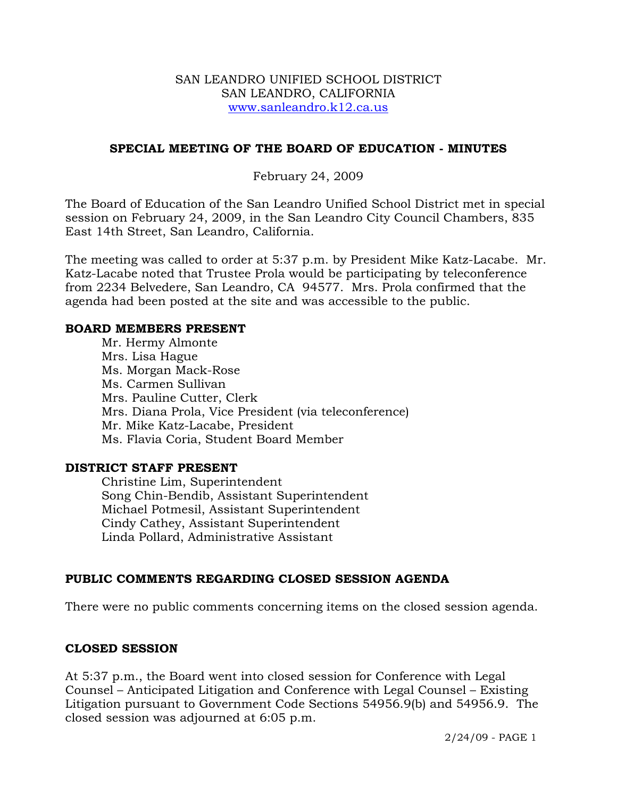#### SAN LEANDRO UNIFIED SCHOOL DISTRICT SAN LEANDRO, CALIFORNIA www.sanleandro.k12.ca.us

#### **SPECIAL MEETING OF THE BOARD OF EDUCATION - MINUTES**

#### February 24, 2009

The Board of Education of the San Leandro Unified School District met in special session on February 24, 2009, in the San Leandro City Council Chambers, 835 East 14th Street, San Leandro, California.

The meeting was called to order at 5:37 p.m. by President Mike Katz-Lacabe. Mr. Katz-Lacabe noted that Trustee Prola would be participating by teleconference from 2234 Belvedere, San Leandro, CA 94577. Mrs. Prola confirmed that the agenda had been posted at the site and was accessible to the public.

#### **BOARD MEMBERS PRESENT**

Mr. Hermy Almonte Mrs. Lisa Hague Ms. Morgan Mack-Rose Ms. Carmen Sullivan Mrs. Pauline Cutter, Clerk Mrs. Diana Prola, Vice President (via teleconference) Mr. Mike Katz-Lacabe, President Ms. Flavia Coria, Student Board Member

#### **DISTRICT STAFF PRESENT**

Christine Lim, Superintendent Song Chin-Bendib, Assistant Superintendent Michael Potmesil, Assistant Superintendent Cindy Cathey, Assistant Superintendent Linda Pollard, Administrative Assistant

### **PUBLIC COMMENTS REGARDING CLOSED SESSION AGENDA**

There were no public comments concerning items on the closed session agenda.

### **CLOSED SESSION**

At 5:37 p.m., the Board went into closed session for Conference with Legal Counsel – Anticipated Litigation and Conference with Legal Counsel – Existing Litigation pursuant to Government Code Sections 54956.9(b) and 54956.9. The closed session was adjourned at 6:05 p.m.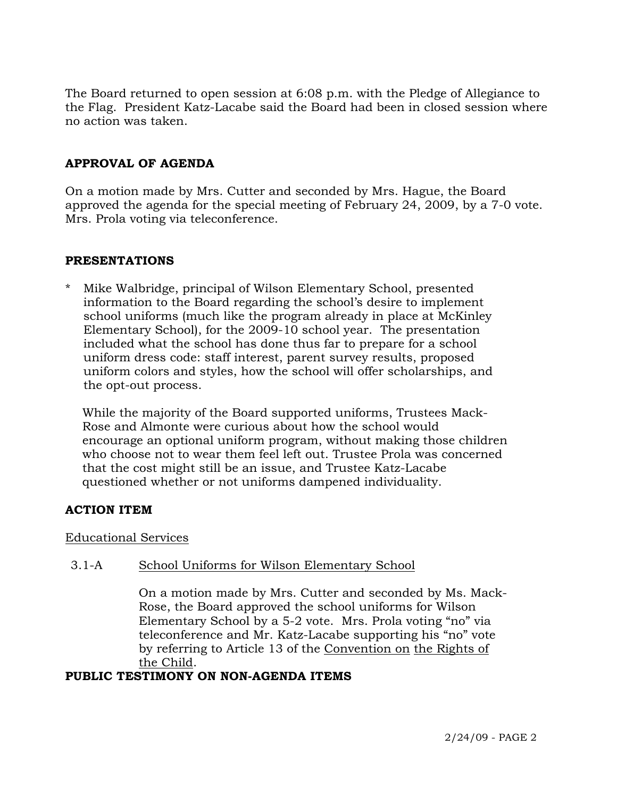The Board returned to open session at 6:08 p.m. with the Pledge of Allegiance to the Flag. President Katz-Lacabe said the Board had been in closed session where no action was taken.

### **APPROVAL OF AGENDA**

On a motion made by Mrs. Cutter and seconded by Mrs. Hague, the Board approved the agenda for the special meeting of February 24, 2009, by a 7-0 vote. Mrs. Prola voting via teleconference.

#### **PRESENTATIONS**

Mike Walbridge, principal of Wilson Elementary School, presented information to the Board regarding the school's desire to implement school uniforms (much like the program already in place at McKinley Elementary School), for the 2009-10 school year. The presentation included what the school has done thus far to prepare for a school uniform dress code: staff interest, parent survey results, proposed uniform colors and styles, how the school will offer scholarships, and the opt-out process.

 While the majority of the Board supported uniforms, Trustees Mack- Rose and Almonte were curious about how the school would encourage an optional uniform program, without making those children who choose not to wear them feel left out. Trustee Prola was concerned that the cost might still be an issue, and Trustee Katz-Lacabe questioned whether or not uniforms dampened individuality.

### **ACTION ITEM**

Educational Services

### 3.1-A School Uniforms for Wilson Elementary School

On a motion made by Mrs. Cutter and seconded by Ms. Mack-Rose, the Board approved the school uniforms for Wilson Elementary School by a 5-2 vote. Mrs. Prola voting "no" via teleconference and Mr. Katz-Lacabe supporting his "no" vote by referring to Article 13 of the Convention on the Rights of the Child.

#### **PUBLIC TESTIMONY ON NON-AGENDA ITEMS**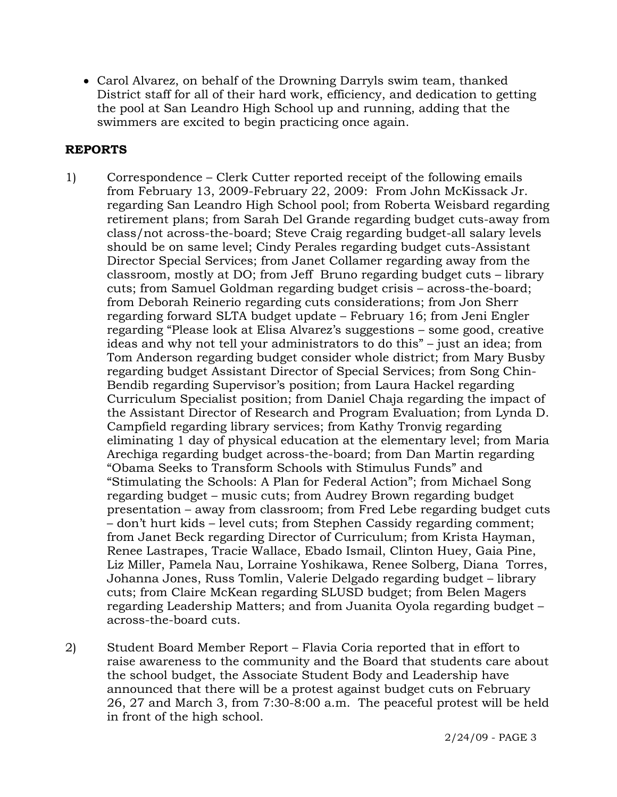• Carol Alvarez, on behalf of the Drowning Darryls swim team, thanked District staff for all of their hard work, efficiency, and dedication to getting the pool at San Leandro High School up and running, adding that the swimmers are excited to begin practicing once again.

### **REPORTS**

- 1) Correspondence Clerk Cutter reported receipt of the following emails from February 13, 2009-February 22, 2009: From John McKissack Jr. regarding San Leandro High School pool; from Roberta Weisbard regarding retirement plans; from Sarah Del Grande regarding budget cuts-away from class/not across-the-board; Steve Craig regarding budget-all salary levels should be on same level; Cindy Perales regarding budget cuts-Assistant Director Special Services; from Janet Collamer regarding away from the classroom, mostly at DO; from Jeff Bruno regarding budget cuts – library cuts; from Samuel Goldman regarding budget crisis – across-the-board; from Deborah Reinerio regarding cuts considerations; from Jon Sherr regarding forward SLTA budget update – February 16; from Jeni Engler regarding "Please look at Elisa Alvarez's suggestions – some good, creative ideas and why not tell your administrators to do this" – just an idea; from Tom Anderson regarding budget consider whole district; from Mary Busby regarding budget Assistant Director of Special Services; from Song Chin-Bendib regarding Supervisor's position; from Laura Hackel regarding Curriculum Specialist position; from Daniel Chaja regarding the impact of the Assistant Director of Research and Program Evaluation; from Lynda D. Campfield regarding library services; from Kathy Tronvig regarding eliminating 1 day of physical education at the elementary level; from Maria Arechiga regarding budget across-the-board; from Dan Martin regarding "Obama Seeks to Transform Schools with Stimulus Funds" and "Stimulating the Schools: A Plan for Federal Action"; from Michael Song regarding budget – music cuts; from Audrey Brown regarding budget presentation – away from classroom; from Fred Lebe regarding budget cuts – don't hurt kids – level cuts; from Stephen Cassidy regarding comment; from Janet Beck regarding Director of Curriculum; from Krista Hayman, Renee Lastrapes, Tracie Wallace, Ebado Ismail, Clinton Huey, Gaia Pine, Liz Miller, Pamela Nau, Lorraine Yoshikawa, Renee Solberg, Diana Torres, Johanna Jones, Russ Tomlin, Valerie Delgado regarding budget – library cuts; from Claire McKean regarding SLUSD budget; from Belen Magers regarding Leadership Matters; and from Juanita Oyola regarding budget – across-the-board cuts.
- 2) Student Board Member Report Flavia Coria reported that in effort to raise awareness to the community and the Board that students care about the school budget, the Associate Student Body and Leadership have announced that there will be a protest against budget cuts on February 26, 27 and March 3, from 7:30-8:00 a.m. The peaceful protest will be held in front of the high school.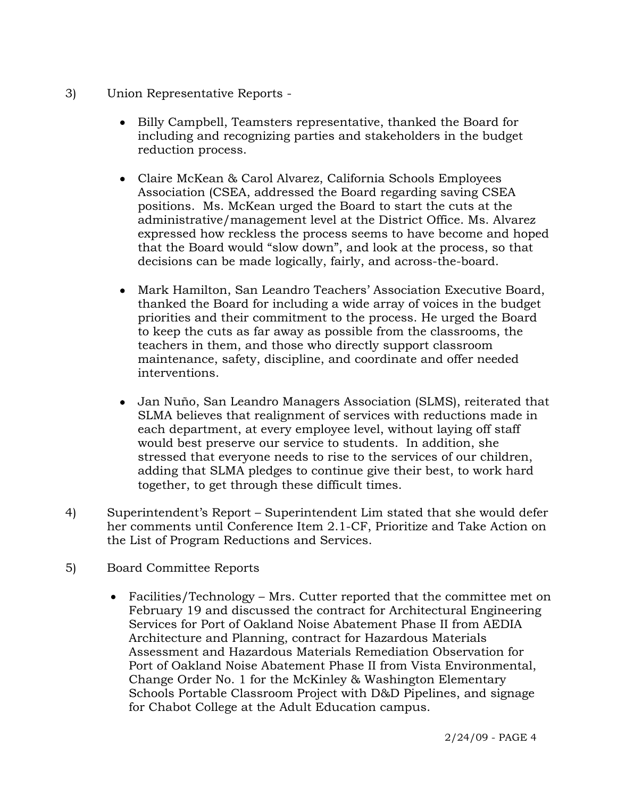- 3) Union Representative Reports
	- Billy Campbell, Teamsters representative, thanked the Board for including and recognizing parties and stakeholders in the budget reduction process.
	- Claire McKean & Carol Alvarez, California Schools Employees Association (CSEA, addressed the Board regarding saving CSEA positions. Ms. McKean urged the Board to start the cuts at the administrative/management level at the District Office. Ms. Alvarez expressed how reckless the process seems to have become and hoped that the Board would "slow down", and look at the process, so that decisions can be made logically, fairly, and across-the-board.
	- Mark Hamilton, San Leandro Teachers' Association Executive Board, thanked the Board for including a wide array of voices in the budget priorities and their commitment to the process. He urged the Board to keep the cuts as far away as possible from the classrooms, the teachers in them, and those who directly support classroom maintenance, safety, discipline, and coordinate and offer needed interventions.
	- Jan Nuño, San Leandro Managers Association (SLMS), reiterated that SLMA believes that realignment of services with reductions made in each department, at every employee level, without laying off staff would best preserve our service to students. In addition, she stressed that everyone needs to rise to the services of our children, adding that SLMA pledges to continue give their best, to work hard together, to get through these difficult times.
- 4) Superintendent's Report Superintendent Lim stated that she would defer her comments until Conference Item 2.1-CF, Prioritize and Take Action on the List of Program Reductions and Services.
- 5) Board Committee Reports
	- Facilities/Technology Mrs. Cutter reported that the committee met on February 19 and discussed the contract for Architectural Engineering Services for Port of Oakland Noise Abatement Phase II from AEDIA Architecture and Planning, contract for Hazardous Materials Assessment and Hazardous Materials Remediation Observation for Port of Oakland Noise Abatement Phase II from Vista Environmental, Change Order No. 1 for the McKinley & Washington Elementary Schools Portable Classroom Project with D&D Pipelines, and signage for Chabot College at the Adult Education campus.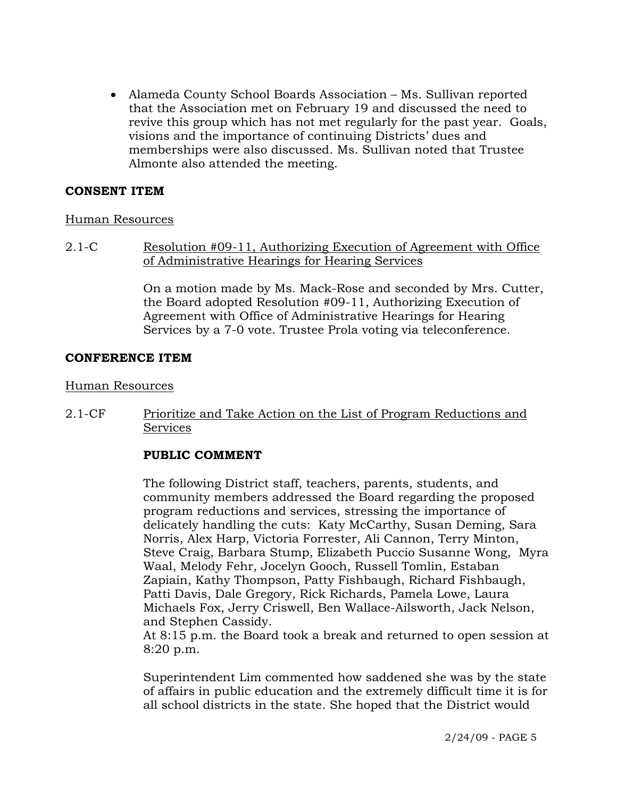• Alameda County School Boards Association – Ms. Sullivan reported that the Association met on February 19 and discussed the need to revive this group which has not met regularly for the past year. Goals, visions and the importance of continuing Districts' dues and memberships were also discussed. Ms. Sullivan noted that Trustee Almonte also attended the meeting.

#### **CONSENT ITEM**

#### Human Resources

2.1-C Resolution #09-11, Authorizing Execution of Agreement with Office of Administrative Hearings for Hearing Services

> On a motion made by Ms. Mack-Rose and seconded by Mrs. Cutter, the Board adopted Resolution #09-11, Authorizing Execution of Agreement with Office of Administrative Hearings for Hearing Services by a 7-0 vote. Trustee Prola voting via teleconference.

#### **CONFERENCE ITEM**

#### Human Resources

2.1-CF Prioritize and Take Action on the List of Program Reductions and Services

### **PUBLIC COMMENT**

The following District staff, teachers, parents, students, and community members addressed the Board regarding the proposed program reductions and services, stressing the importance of delicately handling the cuts: Katy McCarthy, Susan Deming, Sara Norris, Alex Harp, Victoria Forrester, Ali Cannon, Terry Minton, Steve Craig, Barbara Stump, Elizabeth Puccio Susanne Wong, Myra Waal, Melody Fehr, Jocelyn Gooch, Russell Tomlin, Estaban Zapiain, Kathy Thompson, Patty Fishbaugh, Richard Fishbaugh, Patti Davis, Dale Gregory, Rick Richards, Pamela Lowe, Laura Michaels Fox, Jerry Criswell, Ben Wallace-Ailsworth, Jack Nelson, and Stephen Cassidy.

At 8:15 p.m. the Board took a break and returned to open session at 8:20 p.m.

Superintendent Lim commented how saddened she was by the state of affairs in public education and the extremely difficult time it is for all school districts in the state. She hoped that the District would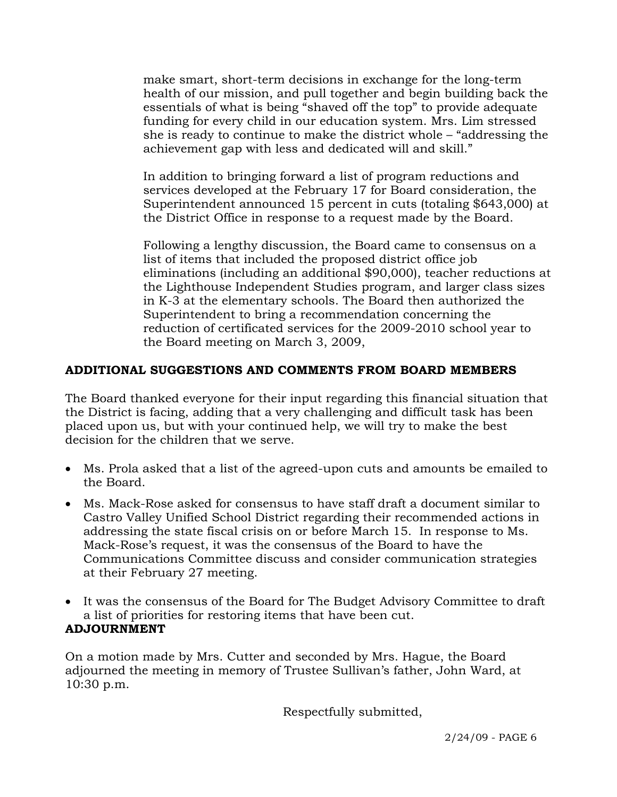make smart, short-term decisions in exchange for the long-term health of our mission, and pull together and begin building back the essentials of what is being "shaved off the top" to provide adequate funding for every child in our education system. Mrs. Lim stressed she is ready to continue to make the district whole – "addressing the achievement gap with less and dedicated will and skill."

In addition to bringing forward a list of program reductions and services developed at the February 17 for Board consideration, the Superintendent announced 15 percent in cuts (totaling \$643,000) at the District Office in response to a request made by the Board.

Following a lengthy discussion, the Board came to consensus on a list of items that included the proposed district office job eliminations (including an additional \$90,000), teacher reductions at the Lighthouse Independent Studies program, and larger class sizes in K-3 at the elementary schools. The Board then authorized the Superintendent to bring a recommendation concerning the reduction of certificated services for the 2009-2010 school year to the Board meeting on March 3, 2009,

## **ADDITIONAL SUGGESTIONS AND COMMENTS FROM BOARD MEMBERS**

The Board thanked everyone for their input regarding this financial situation that the District is facing, adding that a very challenging and difficult task has been placed upon us, but with your continued help, we will try to make the best decision for the children that we serve.

- Ms. Prola asked that a list of the agreed-upon cuts and amounts be emailed to the Board.
- Ms. Mack-Rose asked for consensus to have staff draft a document similar to Castro Valley Unified School District regarding their recommended actions in addressing the state fiscal crisis on or before March 15. In response to Ms. Mack-Rose's request, it was the consensus of the Board to have the Communications Committee discuss and consider communication strategies at their February 27 meeting.
- It was the consensus of the Board for The Budget Advisory Committee to draft a list of priorities for restoring items that have been cut.

# **ADJOURNMENT**

On a motion made by Mrs. Cutter and seconded by Mrs. Hague, the Board adjourned the meeting in memory of Trustee Sullivan's father, John Ward, at 10:30 p.m.

Respectfully submitted,